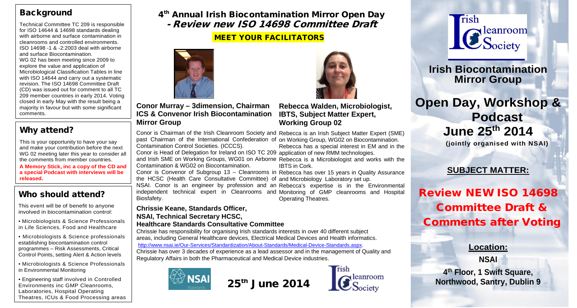### **Background**

Technical Committee TC 209 is responsible for ISO 14644 & 14698 standards dealing with airborne and surface contamination in cleanrooms and controlled environments. ISO 14698 -1 & -2:2003 deal with airborne and surface Biocontamination. WG 02 has been meeting since 2009 to explore the value and application of Microbiological Classification Tables in line with ISO 14644 and carry out a systematic revision. The ISO 14698 Committee Draft (CD) was issued out for comment to all TC 209 member countries in early 2014. Voting closed in early May with the result being a majority in favour but with some significant comments.

## Why attend?

This is your opportunity to have your say and make your contribution before the next WG 02 meeting later this year to consider all the comments from member countries.

**A Memory Stick, inc a copy of the CD and a special Podcast with interviews will be released.**

This event will be of benefit to anyone involved in biocontamination control:

• Microbiologists & Science Professionals in Life Sciences, Food and Healthcare

• Microbiologists & Science professionals establishing biocontamination control programmes – Risk Assessments, Critical Control Points, setting Alert & Action levels

• Microbiologists & Science Professionals in Environmental Monitoring

• Engineering staff involved in Controlled Environments inc GMP Cleanrooms, Laboratories, Hospital Operating Theatres, ICUs & Food Processing areas 4<sup>th</sup> Annual Irish Biocontamination Mirror Open Day - Review new ISO 14698 Committee Draft

#### MEET YOUR FACILITATORS





Rebecca has a special interest in EM and in the

**IBTS, Subject Matter Expert, Working Group 02 Conor Murray – 3dimension, Chairman ICS & Convenor Irish Biocontamination Mirror Group**

Conor is Chairman of the Irish Cleanroom Society and Rebecca is an Irish Subject Matter Expert (SME) past Chairman of the International Confederation of on Working Group, WG02 on Biocontamination. Conor is Head of Delegation for Ireland on ISO TC 209 application of new RMM technologies. Contamination Control Societies. (ICCCS).

and Irish SME on Working Groups, WG01 on Airborne Rebecca is a Microbiologist and works with the Contamination & WG02 on Biocontamination.

Conor is Convenor of Subgroup 13 – Cleanrooms in Rebecca has over 15 years in Quality Assurance the HCSC (Health Care Consultative Committee) of and Microbiology Laboratory set up.

IBTS in Cork.

NSAI. Conor is an engineer by profession and an Rebecca's expertise is in the Environmental Who should attend? The protect technical expert in Cleanrooms and Monitoring of GMP cleanrooms and Hospital expert in Cleanrooms and Monitoring of GMP cleanrooms and Hospital expert in Cleanrooms and Monitoring Theatres. Biosfafety.

> **Chrissie Keane, Standards Officer, NSAI, Technical Secretary HCSC,**

#### **Healthcare Standards Consultative Committee**

Chrissie has responsibility for organising Irish standards interests in over 40 different subject areas, including General Healthcare devices, Electrical Medical Devices and Health informatics. [http://www.nsai.ie/Our-Services/Standardization/About-Standards/Medical-Device-Standards.aspx.](http://www.nsai.ie/Our-Services/Standardization/About-Standards/Medical-Device-Standards.aspx)

Chrissie has over 3 decades of experience as a lead assessor and in the management of Quality and Regulatory Affairs in both the Pharmaceutical and Medical Device industries.









**Irish Biocontamination Mirror Group**

# **Open Day, Workshop & Podcast June 25th 2014 (jointly organised with NSAI)**

## **SUBJECT MATTER:**

# Review NEW ISO 14698 Committee Draft & Comments after Voting

**Location:**

**NSAI**

**4th Floor, 1 Swift Square,** 25<sup>th</sup> June 2014 **C** Leanroom Northwood, Santry, Dublin 9